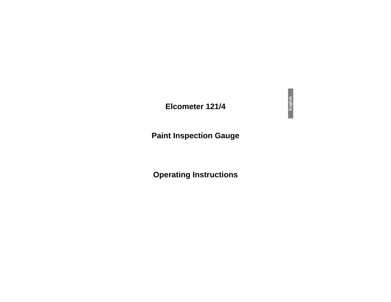# **Elcometer 121/4**

# **Paint Inspection Gauge**

# **Operating Instructions**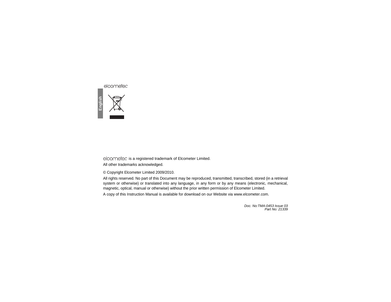

े is a registered trademark of Elcometer Limited.

All other trademarks acknowledged.

© Copyright Elcometer Limited 2009/2010.

All rights reserved. No part of this Document may be reproduced, transmitted, transcribed, stored (in a retrieval system or otherwise) or translated into any language, in any form or by any means (electronic, mechanical, magnetic, optical, manual or otherwise) without the prior written permission of Elcometer Limited.

A copy of this Instruction Manual is available for download on our Website via [www.elcometer.com](http://www.elcometer.com/downloads).

*Doc. No:TMA-0453 Issue 03Part No: 21339*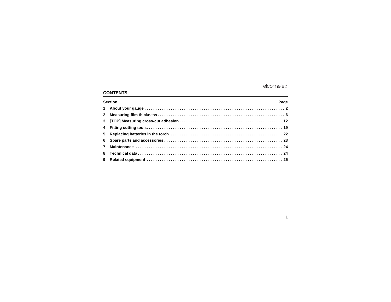# **CONTENTS**

| <b>Section</b><br>Page |  |  |  |
|------------------------|--|--|--|
|                        |  |  |  |
|                        |  |  |  |
|                        |  |  |  |
|                        |  |  |  |
|                        |  |  |  |
|                        |  |  |  |
|                        |  |  |  |
|                        |  |  |  |
|                        |  |  |  |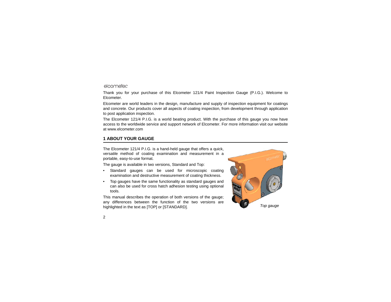Thank you for your purchase of this Elcometer 121/4 Paint Inspection Gauge (P.I.G.). Welcome to Elcometer.

Elcometer are world leaders in the design, manufacture and supply of inspection equipment for coatings and concrete. Our products cover all aspects of coating inspection, from development through application to post application inspection.

The Elcometer 121/4 P.I.G. is a world beating product. With the purchase of this gauge you now have access to the worldwide service and support network of Elcometer. For more information visit our website at [www.elcometer.com](http://www.elcometer.com)

# <span id="page-3-0"></span>**1 ABOUT YOUR GAUGE**

The Elcometer 121/4 P.I.G. is a hand-held gauge that offers a quick, versatile method of coating examination and measurement in a portable, easy-to-use format.

The gauge is available in two versions, Standard and Top:

- • Standard gauges can be used for microscopic coating examination and destructive measurement of coating thickness.
- • Top gauges have the same functionality as standard gauges and can also be used for cross hatch adhesion testing using optional tools.

This manual describes the operation of both versions of the gauge; any differences between the function of the two versions are highlighted in the text as [TOP] or [STANDARD]. *Top gauge*

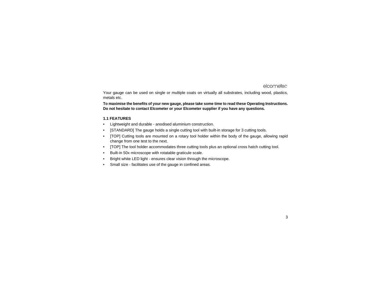Your gauge can be used on single or multiple coats on virtually all substrates, including wood, plastics, metals etc.

**To maximise the benefits of your new gauge, please take some time to read these Operating Instructions. Do not hesitate to contact Elcometer or your Elcometer supplier if you have any questions.**

#### **1.1 FEATURES**

- •Lightweight and durable - anodised aluminium construction.
- •[STANDARD] The gauge holds a single cutting tool with built-in storage for 3 cutting tools.
- • [TOP] Cutting tools are mounted on a rotary tool holder within the body of the gauge, allowing rapid change from one test to the next.
- •[TOP] The tool holder accommodates three cutting tools plus an optional cross hatch cutting tool.
- •Built-in 50x microscope with rotatable graticule scale.
- •Bright white LED light - ensures clear vision through the microscope.
- •Small size - facilitates use of the gauge in confined areas.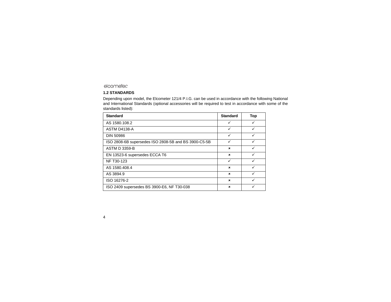#### **1.2 STANDARDS**

Depending upon model, the Elcometer 121/4 P.I.G. can be used in accordance with the following National and International Standards (optional accessories will be required to test in accordance with some of the standards listed):

| <b>Standard</b>                                      | <b>Standard</b>           | Top |
|------------------------------------------------------|---------------------------|-----|
| AS 1580.108.2                                        | ✓                         |     |
| ASTM D4138-A                                         | ✓                         |     |
| <b>DIN 50986</b>                                     | ✓                         |     |
| ISO 2808-6B supersedes ISO 2808-5B and BS 3900-C5-5B | ✓                         |     |
| <b>ASTM D 3359-B</b>                                 | $\boldsymbol{\mathsf{x}}$ | ✓   |
| EN 13523-6 supersedes ECCA T6                        | $\boldsymbol{\mathsf{x}}$ |     |
| NF T30-123                                           | ✓                         | ✓   |
| AS 1580.408.4                                        | $\boldsymbol{\mathsf{x}}$ | ✓   |
| AS 3894.9                                            | $\boldsymbol{\mathsf{x}}$ |     |
| ISO 16276-2                                          | $\boldsymbol{\mathsf{x}}$ |     |
| ISO 2409 supersedes BS 3900-E6, NF T30-038           | ×                         |     |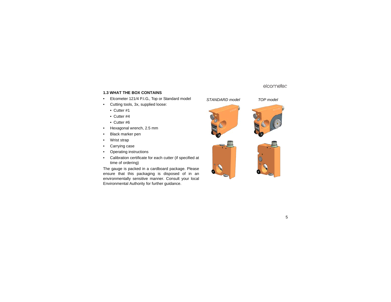#### **1.3 WHAT THE BOX CONTAINS**

- •Elcometer 121/4 P.I.G., Top or Standard model
- • Cutting tools, 3x, supplied loose:
	- Cutter #1
	- Cutter #4
	- Cutter #6
- •Hexagonal wrench, 2.5 mm
- •Black marker pen
- •Wrist strap
- •Carrying case
- •Operating instructions
- • Calibration certificate for each cutter (if specified at time of ordering)

The gauge is packed in a cardboard package. Please ensure that this packaging is disposed of in an environmentally sensitive manner. Consult your local Environmental Authority for further guidance.







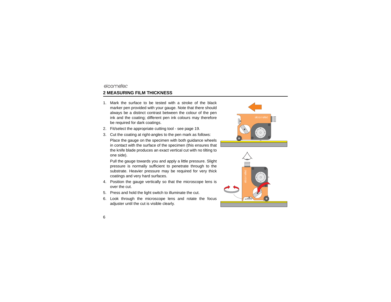# <span id="page-7-0"></span>**2 MEASURING FILM THICKNESS**

- 1. Mark the surface to be tested with a stroke of the blackmarker pen provided with your gauge. Note that there should always be a distinct contrast between the colour of the pen ink and the coating; different pen ink colours may therefore be required for dark coatings.
- 2. Fit/select the appropriate cutting tool see [page](#page-20-0) 19.
- 3. Cut the coating at right-angles to the pen mark as follows:

Place the gauge on the specimen with both guidance wheels in contact with the surface of the specimen (this ensures that the knife blade produces an exact vertical cut with no tilting to one side).

Pull the gauge towards you and apply a little pressure. Slight pressure is normally sufficient to penetrate through to the substrate. Heavier pressure may be required for very thick coatings and very hard surfaces.

- 4. Position the gauge vertically so that the microscope lens is over the cut.
- 5. Press and hold the light switch to illuminate the cut.
- 6. Look through the microscope lens and rotate the focus adjuster until the cut is visible clearly.



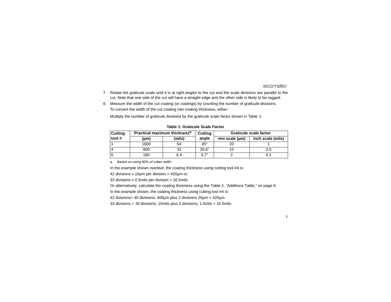- 7. Rotate the graticule scale until it is at right-angles to the cut and the scale divisions are parallel to the cut. Note that one side of the cut will have a straight edge and the other side is likely to be ragged.
- 8. Measure the width of the cut coating (or coatings) by counting the number of graticule divisions. To convert the width of the cut coating into coating thickness, either:

Multiply the number of graticule divisions by the graticule scale factor shown in Table 1.

| <b>Cutting</b> | Practical maximum thickness <sup>a</sup> |        | Cutting      | Graticule scale factor |                   |  |
|----------------|------------------------------------------|--------|--------------|------------------------|-------------------|--|
| tool#          | (µm)                                     | (mils) | angle        | mm scale (um)          | inch scale (mils) |  |
|                | 1600                                     | 64     | $45^\circ$   |                        |                   |  |
| $\overline{4}$ | 800                                      | 32     | $26.6^\circ$ |                        | 0.5               |  |
| 16             | 160                                      | 6.4    | $5.7^\circ$  |                        |                   |  |

**Table 1: Graticule Scale Factor**

a. Based on using 80% of cutter width

In the example shown overleaf, the coating thickness using cutting tool #4 is:

42 divisions x 10µm per division = 420µm or;

33 divisions x 0.5mils per division  $= 16.5$ mils

Or alternatively, calculate the coating thickness using the Table 2, "Additions Table," on page 9.

In the example shown, the coating thickness using cutting tool #4 is:

42 divisions= 40 divisions; 400µm plus 2 divisions 20µm = 420µm

33 divisions = 30 divisions; 15mils plus 3 divisions; 1.5mils = 16.5mils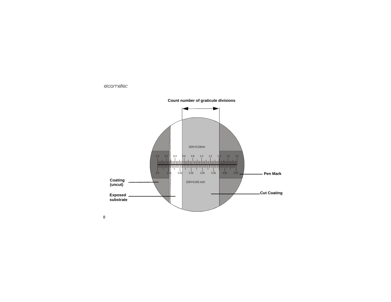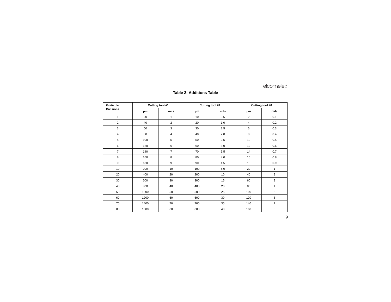#### **Table 2: Additions Table**

| Graticule        | Cutting tool #1 |                | Cutting tool #4 |      | Cutting tool #6 |                |
|------------------|-----------------|----------------|-----------------|------|-----------------|----------------|
| <b>Divisions</b> | μm              | mils           | μm              | mils | μm              | mils           |
| $\mathbf{1}$     | 20              | $\mathbf{1}$   | 10              | 0.5  | $\overline{2}$  | 0.1            |
| $\overline{2}$   | 40              | $\overline{2}$ | 20              | 1.0  | $\overline{4}$  | 0.2            |
| 3                | 60              | 3              | 30              | 1.5  | 6               | 0.3            |
| $\overline{4}$   | 80              | $\overline{4}$ | 40              | 2.0  | 8               | 0.4            |
| 5                | 100             | 5              | 50              | 2.5  | 10              | 0.5            |
| 6                | 120             | 6              | 60              | 3.0  | 12              | 0.6            |
| $\overline{7}$   | 140             | $\overline{7}$ | 70              | 3.5  | 14              | 0.7            |
| 8                | 160             | 8              | 80              | 4.0  | 16              | 0.8            |
| 9                | 180             | 9              | 90              | 4.5  | 18              | 0.9            |
| 10               | 200             | 10             | 100             | 5.0  | 20              | 1              |
| 20               | 400             | 20             | 200             | 10   | 40              | $\overline{2}$ |
| 30               | 600             | 30             | 300             | 15   | 60              | 3              |
| 40               | 800             | 40             | 400             | 20   | 80              | 4              |
| 50               | 1000            | 50             | 500             | 25   | 100             | 5              |
| 60               | 1200            | 60             | 600             | 30   | 120             | 6              |
| 70               | 1400            | 70             | 700             | 35   | 140             | $\overline{7}$ |
| 80               | 1600            | 80             | 800             | 40   | 160             | 8              |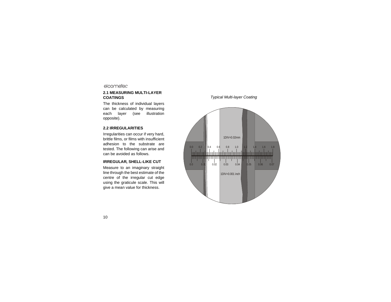#### **2.1 MEASURING MULTI-LAYER COATINGS**

The thickness of individual layers can be calculated by measuring each layer (see illustration opposite).

#### **2.2 IRREGULARITIES**

Irregularities can occur if very hard, brittle films, or films with insufficient adhesion to the substrate aretested. The following can arise and can be avoided as follows.

#### **IRREGULAR, SHELL-LIKE CUT**

Measure to an imaginary straight line through the best estimate of the centre of the irregular cut edge using the graticule scale. This will give a mean value for thickness.

#### *Typical Multi-layer Coating*

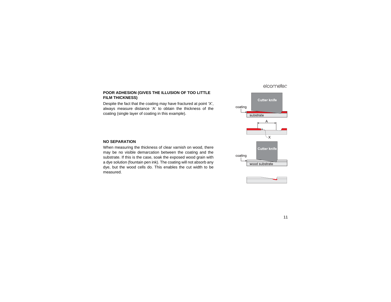#### **POOR ADHESION (GIVES THE ILLUSION OF TOO LITTLE FILM THICKNESS)**

Despite the fact that the coating may have fractured at point 'X', always measure distance 'A' to obtain the thickness of the coating (single layer of coating in this example).

#### **NO SEPARATION**

When measuring the thickness of clear varnish on wood, there may be no visible demarcation between the coating and the substrate. If this is the case, soak the exposed wood grain with a dye solution (fountain pen ink). The coating will not absorb any dye, but the wood cells do. This enables the cut width to be measured.



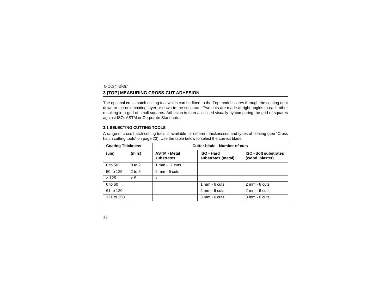# <span id="page-13-0"></span>elcometer **3 [TOP] MEASURING CROSS-CUT ADHESION**

The optional cross hatch cutting tool which can be fitted to the Top model scores through the coating right down to the next coating layer or down to the substrate. Two cuts are made at right angles to each other resulting in a grid of small squares. Adhesion is then assessed visually by comparing the grid of squares against ISO, ASTM or Corporate Standards.

#### **3.1 SELECTING CUTTING TOOLS**

A range of cross hatch cutting tools is available for different thicknesses and types of coating ([see "Cross](#page-24-1) [hatch cutting tools" on page](#page-24-1) 23). Use the table below to select the correct blade.

| <b>Coating Thickness</b> |            | Cutter blade - Number of cuts     |                                         |                                                 |  |
|--------------------------|------------|-----------------------------------|-----------------------------------------|-------------------------------------------------|--|
| (µm)                     | (mils)     | <b>ASTM - Metal</b><br>substrates | <b>ISO - Hard</b><br>substrates (metal) | <b>ISO - Soft substrates</b><br>(wood, plaster) |  |
| 0 to 50                  | $0$ to $2$ | 1 mm - 11 cuts                    |                                         |                                                 |  |
| 50 to 125                | $2$ to 5   | $2$ mm - 6 cuts                   |                                         |                                                 |  |
| >125                     | > 5        | x                                 |                                         |                                                 |  |
| 0 to 60                  |            |                                   | $1 \text{ mm}$ - 6 cuts                 | $2 \text{ mm} - 6 \text{ cuts}$                 |  |
| 61 to 120                |            |                                   | $2$ mm - 6 cuts                         | $2$ mm - 6 cuts                                 |  |
| 121 to 250               |            |                                   | $3$ mm $-6$ cuts                        | $3$ mm - $6$ cuts                               |  |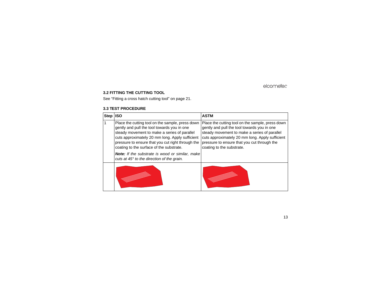#### **3.2 FITTING THE CUTTING TOOL**

See ["Fitting a cross hatch cutting tool" on page](#page-22-0) 21.

#### **3.3 TEST PROCEDURE**

| <b>Step</b> | <b>ISO</b>                                                                                                                                                                                                                                                                                                                                                                                                         | <b>ASTM</b>                                                                                                                                                                                                                                                                    |
|-------------|--------------------------------------------------------------------------------------------------------------------------------------------------------------------------------------------------------------------------------------------------------------------------------------------------------------------------------------------------------------------------------------------------------------------|--------------------------------------------------------------------------------------------------------------------------------------------------------------------------------------------------------------------------------------------------------------------------------|
|             | Place the cutting tool on the sample, press down<br>gently and pull the tool towards you in one<br>steady movement to make a series of parallel<br>cuts approximately 20 mm long. Apply sufficient<br>pressure to ensure that you cut right through the<br>coating to the surface of the substrate.<br><b>Note:</b> If the substrate is wood or similar, make<br>cuts at $45^\circ$ to the direction of the grain. | Place the cutting tool on the sample, press down<br>gently and pull the tool towards you in one<br>steady movement to make a series of parallel<br>cuts approximately 20 mm long. Apply sufficient<br>pressure to ensure that you cut through the<br>coating to the substrate. |
|             |                                                                                                                                                                                                                                                                                                                                                                                                                    |                                                                                                                                                                                                                                                                                |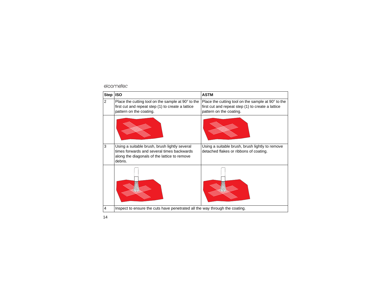## R

| <b>Step</b>    | <b>ISO</b>                                                                                                                                             | <b>ASTM</b>                                                                                                                        |  |
|----------------|--------------------------------------------------------------------------------------------------------------------------------------------------------|------------------------------------------------------------------------------------------------------------------------------------|--|
| $\overline{2}$ | Place the cutting tool on the sample at 90° to the<br>first cut and repeat step (1) to create a lattice<br>pattern on the coating.                     | Place the cutting tool on the sample at 90° to the<br>first cut and repeat step (1) to create a lattice<br>pattern on the coating. |  |
|                |                                                                                                                                                        |                                                                                                                                    |  |
| 3              | Using a suitable brush, brush lightly several<br>times forwards and several times backwards<br>along the diagonals of the lattice to remove<br>debris. | Using a suitable brush, brush lightly to remove<br>detached flakes or ribbons of coating.                                          |  |
|                |                                                                                                                                                        |                                                                                                                                    |  |
| $\overline{4}$ | Inspect to ensure the cuts have penetrated all the way through the coating.                                                                            |                                                                                                                                    |  |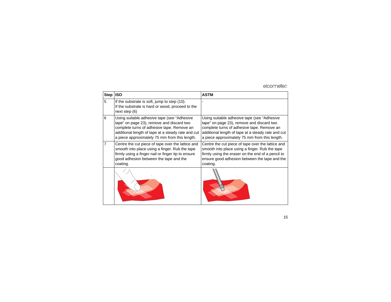# R

| <b>Step</b>    | <b>ISO</b>                                                                                                                                                                                                                                     | <b>ASTM</b>                                                                                                                                                                                                                                    |
|----------------|------------------------------------------------------------------------------------------------------------------------------------------------------------------------------------------------------------------------------------------------|------------------------------------------------------------------------------------------------------------------------------------------------------------------------------------------------------------------------------------------------|
| 5              | If the substrate is soft, jump to step (10).<br>If the substrate is hard or wood, proceed to the<br>next step $(6)$                                                                                                                            |                                                                                                                                                                                                                                                |
| 6              | Using suitable adhesive tape (see "Adhesive"<br>tape" on page 23), remove and discard two<br>complete turns of adhesive tape. Remove an<br>additional length of tape at a steady rate and cut<br>a piece approximately 75 mm from this length. | Using suitable adhesive tape (see "Adhesive"<br>tape" on page 23), remove and discard two<br>complete turns of adhesive tape. Remove an<br>additional length of tape at a steady rate and cut<br>a piece approximately 75 mm from this length. |
| $\overline{7}$ | Centre the cut piece of tape over the lattice and<br>smooth into place using a finger. Rub the tape<br>firmly using a finger nail or finger tip to ensure<br>good adhesion between the tape and the<br>coating.                                | Centre the cut piece of tape over the lattice and<br>smooth into place using a finger. Rub the tape<br>firmly using the eraser on the end of a pencil to<br>ensure good adhesion between the tape and the<br>coating.                          |
|                |                                                                                                                                                                                                                                                |                                                                                                                                                                                                                                                |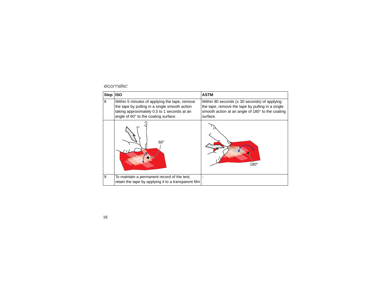# R

| <b>Step</b> | <b>ISO</b>                                                                                                                                                                            | <b>ASTM</b>                                                                                                                                                          |
|-------------|---------------------------------------------------------------------------------------------------------------------------------------------------------------------------------------|----------------------------------------------------------------------------------------------------------------------------------------------------------------------|
| 8           | Within 5 minutes of applying the tape, remove<br>the tape by pulling in a single smooth action<br>taking approximately 0.5 to 1 seconds at an<br>angle of 60° to the coating surface. | Within 90 seconds $(\pm 30$ seconds) of applying<br>the tape, remove the tape by pulling in a single<br>smooth action at an angle of 180° to the coating<br>surface. |
|             | $60^{\circ}$                                                                                                                                                                          | $180^\circ$                                                                                                                                                          |
| 9           | To maintain a permanent record of the test,<br>retain the tape by applying it to a transparent film                                                                                   |                                                                                                                                                                      |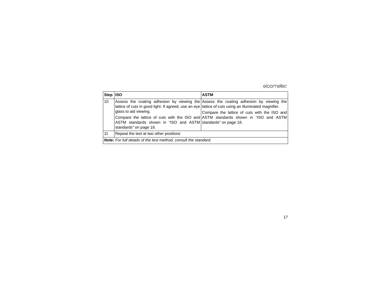| Step ISO |                                                                                                                                                                                                                         | <b>ASTM</b>                                                                                                                                                                                                                 |  |  |  |
|----------|-------------------------------------------------------------------------------------------------------------------------------------------------------------------------------------------------------------------------|-----------------------------------------------------------------------------------------------------------------------------------------------------------------------------------------------------------------------------|--|--|--|
| 10       | lattice of cuts in good light. If agreed, use an eye lattice of cuts using an illuminated magnifier.<br>glass to aid viewing.<br>ASTM standards shown in "ISO and ASTM standards" on page 18.<br>standards" on page 18. | Assess the coating adhesion by viewing the Assess the coating adhesion by viewing the<br>Compare the lattice of cuts with the ISO and<br>Compare the lattice of cuts with the ISO and ASTM standards shown in "ISO and ASTM |  |  |  |
| 11       | Repeat the test at two other positions                                                                                                                                                                                  |                                                                                                                                                                                                                             |  |  |  |
|          | <b>Note:</b> For full details of the test method, consult the standard.                                                                                                                                                 |                                                                                                                                                                                                                             |  |  |  |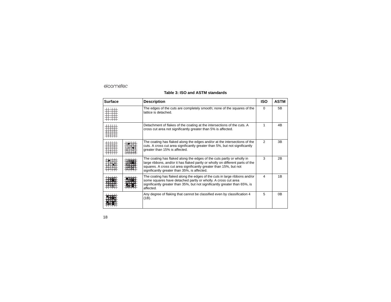## **Table 3: ISO and ASTM standards**

<span id="page-19-0"></span>

| <b>Surface</b> | <b>Description</b>                                                                                                                                                                                                                                                            | <b>ISO</b>     | <b>ASTM</b>    |
|----------------|-------------------------------------------------------------------------------------------------------------------------------------------------------------------------------------------------------------------------------------------------------------------------------|----------------|----------------|
|                | The edges of the cuts are completely smooth; none of the squares of the<br>lattice is detached.                                                                                                                                                                               | $\Omega$       | 5B             |
|                | Detachment of flakes of the coating at the intersections of the cuts. A<br>cross cut area not significantly greater than 5% is affected.                                                                                                                                      | 1              | 4B             |
|                | The coating has flaked along the edges and/or at the intersections of the<br>cuts. A cross cut area significantly greater than 5%, but not significantly<br>greater than 15% is affected.                                                                                     | $\mathfrak{p}$ | 3B             |
|                | The coating has flaked along the edges of the cuts partly or wholly in<br>large ribbons, and/or it has flaked partly or wholly on different parts of the<br>squares. A cross cut area significantly greater than 15%, but not<br>significantly greater than 35%, is affected. | 3              | 2B             |
|                | The coating has flaked along the edges of the cuts in large ribbons and/or<br>some squares have detached partly or wholly. A cross cut area<br>significantly greater than 35%, but not significantly greater than 65%, is<br>affected.                                        | 4              | 1B             |
|                | Any degree of flaking that cannot be classified even by classification 4<br>$(1B)$ .                                                                                                                                                                                          | 5              | 0 <sub>B</sub> |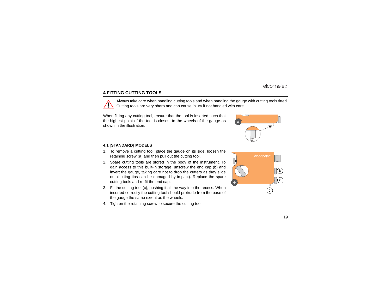# <span id="page-20-0"></span>**4 FITTING CUTTING TOOLS**

Always take care when handling cutting tools and when handling the gauge with cutting tools fitted. Cutting tools are very sharp and can cause injury if not handled with care.

When fitting any cutting tool, ensure that the tool is inserted such that the highest point of the tool is closest to the wheels of the gauge as shown in the illustration.

#### **4.1 [STANDARD] MODELS**

- 1. To remove a cutting tool, place the gauge on its side, loosen the retaining screw (a) and then pull out the cutting tool.
- 2. Spare cutting tools are stored in the body of the instrument. To gain access to this built-in storage, unscrew the end cap (b) and invert the gauge, taking care not to drop the cutters as they slide out (cutting tips can be damaged by impact). Replace the spare cutting tools and re-fit the end cap.
- 3. Fit the cutting tool (c), pushing it all the way into the recess. When inserted correctly the cutting tool should protrude from the base of the gauge the same extent as the wheels.
- 4. Tighten the retaining screw to secure the cutting tool.



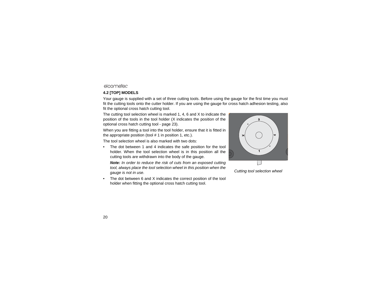# **4.2 [TOP] MODELS**

Your gauge is supplied with a set of three cutting tools. Before using the gauge for the first time you must fit the cutting tools onto the cutter holder. If you are using the gauge for cross hatch adhesion testing, also fit the optional cross hatch cutting tool.

The cutting tool selection wheel is marked 1, 4, 6 and X to indicate the position of the tools in the tool holder (X indicates the position of the optional cross hatch cutting tool - [page](#page-24-1) 23).

When you are fitting a tool into the tool holder, ensure that it is fitted in the appropriate position (tool # 1 in position 1, etc.).

The tool selection wheel is also marked with two dots:

• The dot between 1 and 4 indicates the safe position for the tool holder. When the tool selection wheel is in this position all the cutting tools are withdrawn into the body of the gauge.

*Note: In order to reduce the risk of cuts from an exposed cutting tool, always place the tool selection wheel in this position when the gauge is not in use.*

• The dot between 6 and X indicates the correct position of the tool holder when fitting the optional cross hatch cutting tool.



*Cutting tool selection wheel*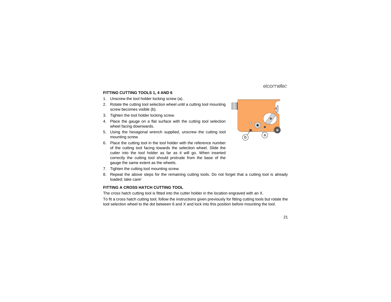#### **FITTING CUTTING TOOLS 1, 4 AND 6**

- 1. Unscrew the tool holder locking screw (a).
- 2. Rotate the cutting tool selection wheel until a cutting tool mounting screw becomes visible (b).
- 3. Tighten the tool holder locking screw.
- 4. Place the gauge on a flat surface with the cutting tool selection wheel facing downwards.
- 5. Using the hexagonal wrench supplied, unscrew the cutting tool mounting screw.
- 6. Place the cutting tool in the tool holder with the reference number of the cutting tool facing towards the selection wheel. Slide the cutter into the tool holder as far as it will go. When inserted correctly the cutting tool should protrude from the base of the gauge the same extent as the wheels.
- 7. Tighten the cutting tool mounting screw.
- 8. Repeat the above steps for the remaining cutting tools. Do not forget that a cutting tool is already loaded; take care!

#### <span id="page-22-0"></span>**FITTING A CROSS HATCH CUTTING TOOL**

The cross hatch cutting tool is fitted into the cutter holder in the location engraved with an X.

To fit a cross hatch cutting tool, follow the instructions given previously for fitting cutting tools but rotate the tool selection wheel to the dot between 6 and X and lock into this position before mounting the tool.

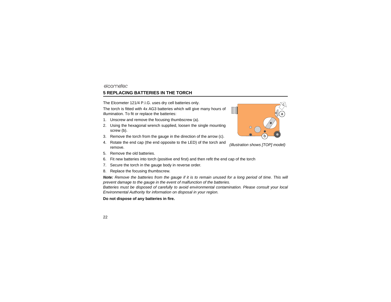# <span id="page-23-0"></span>elcometer **5 REPLACING BATTERIES IN THE TORCH**

The Elcometer 121/4 P.I.G. uses dry cell batteries only.

The torch is fitted with 4x AG3 batteries which will give many hours of illumination. To fit or replace the batteries:

- 1. Unscrew and remove the focusing thumbscrew (a).
- 2. Using the hexagonal wrench supplied, loosen the single mounting screw (b).
- 3. Remove the torch from the gauge in the direction of the arrow (c).
- 4. Rotate the end cap (the end opposite to the LED) of the torch and remove.
- 5. Remove the old batteries.
- 6. Fit new batteries into torch (positive end first) and then refit the end cap of the torch
- 7. Secure the torch in the gauge body in reverse order.
- 8. Replace the focusing thumbscrew.

*Note: Remove the batteries from the gauge if it is to remain unused for a long period of time. This will prevent damage to the gauge in the event of malfunction of the batteries. Batteries must be disposed of carefully to avoid environmental contamination. Please consult your local Environmental Authority for information on disposal in your region.*

#### **Do not dispose of any batteries in fire.**



*(illustration shows [TOP] model)*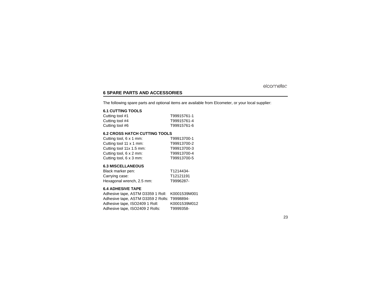# <span id="page-24-0"></span>**6 SPARE PARTS AND ACCESSORIES**

The following spare parts and optional items are available from Elcometer, or your local supplier:

#### **6.1 CUTTING TOOLS**

| Cutting tool #1 | T99915761-1 |
|-----------------|-------------|
| Cutting tool #4 | T99915761-4 |
| Cutting tool #6 | T99915761-6 |

#### <span id="page-24-1"></span>**6.2 CROSS HATCH CUTTING TOOLS**

| Cutting tool, 6 x 1 mm:  | T99913700-1 |
|--------------------------|-------------|
| Cutting tool 11 x 1 mm:  | T99913700-2 |
| Cutting tool 11x 1.5 mm: | T99913700-3 |
| Cutting tool, 6 x 2 mm:  | T99913700-4 |
| Cutting tool, 6 x 3 mm:  | T99913700-5 |

#### **6.3 MISCELLANEOUS**

| Black marker pen:         | T1214434- |
|---------------------------|-----------|
| Carrying case:            | T12121191 |
| Hexagonal wrench, 2.5 mm: | T9996287- |

#### <span id="page-24-2"></span>**6.4 ADHESIVE TAPE**

Adhesive tape, ASTM D3359 1 Roll: K0001539M001 Adhesive tape, ASTM D3359 2 Rolls: T9998894- Adhesive tape, ISO2409 1 Roll: K0001539M012 Adhesive tape, ISO2409 2 Rolls: T9999358-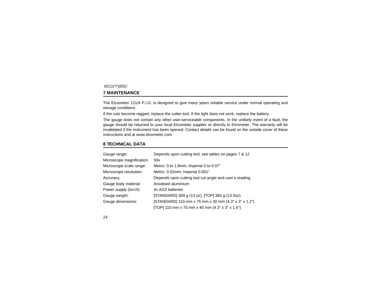# <span id="page-25-0"></span>**7 MAINTENANCE**

The Elcometer 121/4 P.I.G. is designed to give many years reliable service under normal operating and storage conditions.

If the cuts become ragged, replace the cutter tool. If the light does not work, replace the battery.

[The gauge does not contain any other user-serviceable components. In the unlikely event of a fault, the](http://www.elcometer.com) gauge should be returned to your local Elcometer supplier or directly to Elcometer. The warranty will be invalidated if the instrument has been opened. Contact details can be found on the outside cover of these [instructions and at](http://www.elcometer.com) www.elcometer.com

#### <span id="page-25-1"></span>**8 TECHNICAL DATA**

| Gauge range:              | Depends upon cutting tool; see tables on pages 7 & 12  |
|---------------------------|--------------------------------------------------------|
| Microscope magnification: | 50x                                                    |
| Microscope scale range:   | Metric: 0 to 1.8mm; Imperial 0 to 0.07"                |
| Microscope resolution:    | Metric: 0.02mm; Imperial 0.001"                        |
| Accuracy:                 | Depends upon cutting tool cut angle and user's reading |
| Gauge body material:      | Anodised aluminium                                     |
| Power supply (torch):     | 4x AG3 batteries                                       |
| Gauge weight:             | [STANDARD] 369 g (13 oz), [TOP] 383 g (13.5oz)         |
| Gauge dimensions:         | [STANDARD] 110 mm x 75 mm x 30 mm (4.3" x 3" x 1.2")   |
|                           | [TOP] 110 mm x 75 mm x 40 mm (4.3" x 3" x 1.6")        |